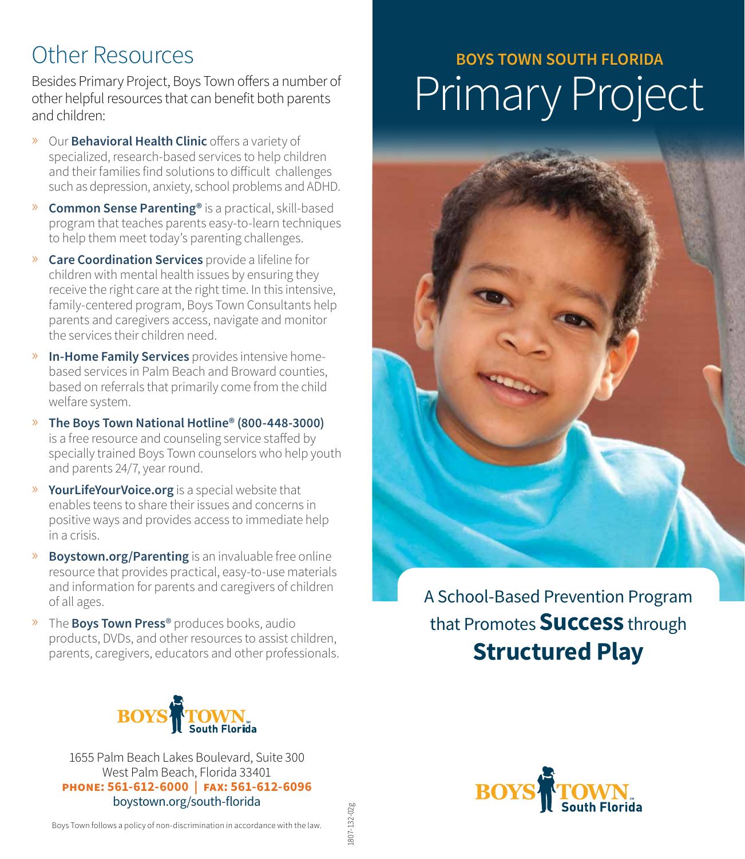## Other Resources

Besides Primary Project, Boys Town offers a number of other helpful resources that can benefit both parents and children:

- » Our **Behavioral Health Clinic** offers a variety of specialized, research-based services to help children and their families find solutions to difficult challenges such as depression, anxiety, school problems and ADHD.
- » **Common Sense Parenting®** is a practical, skill-based program that teaches parents easy-to-learn techniques to help them meet today's parenting challenges.
- » **Care Coordination Services** provide a lifeline for children with mental health issues by ensuring they receive the right care at the right time. In this intensive, family-centered program, Boys Town Consultants help parents and caregivers access, navigate and monitor the services their children need.
- » **In-Home Family Services** provides intensive homebased services in Palm Beach and Broward counties, based on referrals that primarily come from the child welfare system.
- » **The Boys Town National Hotline® (800-448-3000)**  is a free resource and counseling service staffed by specially trained Boys Town counselors who help youth and parents 24/7, year round.
- » **YourLifeYourVoice.org** is a special website that enables teens to share their issues and concerns in positive ways and provides access to immediate help in a crisis.
- » **Boystown.org/Parenting** is an invaluable free online resource that provides practical, easy-to-use materials and information for parents and caregivers of children of all ages.
- » The **Boys Town Press**® produces books, audio products, DVDs, and other resources to assist children, parents, caregivers, educators and other professionals.



1655 Palm Beach Lakes Boulevard, Suite 300 West Palm Beach, Florida 33401 **phone: 561-612-6000 | fax: 561-612-6096** boystown.org/south-florida

## **BOYS TOWN SOUTH FLORIDA** Primary Project



A School-Based Prevention Program that Promotes **Success** through **Structured Play**